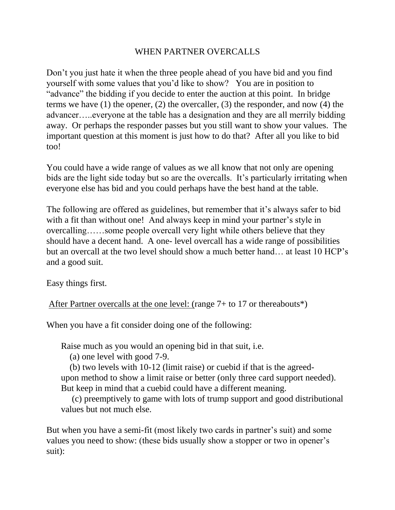## WHEN PARTNER OVERCALLS

Don't you just hate it when the three people ahead of you have bid and you find yourself with some values that you'd like to show? You are in position to "advance" the bidding if you decide to enter the auction at this point. In bridge terms we have (1) the opener, (2) the overcaller, (3) the responder, and now (4) the advancer…..everyone at the table has a designation and they are all merrily bidding away. Or perhaps the responder passes but you still want to show your values. The important question at this moment is just how to do that? After all you like to bid too!

You could have a wide range of values as we all know that not only are opening bids are the light side today but so are the overcalls. It's particularly irritating when everyone else has bid and you could perhaps have the best hand at the table.

The following are offered as guidelines, but remember that it's always safer to bid with a fit than without one! And always keep in mind your partner's style in overcalling……some people overcall very light while others believe that they should have a decent hand. A one- level overcall has a wide range of possibilities but an overcall at the two level should show a much better hand… at least 10 HCP's and a good suit.

Easy things first.

After Partner overcalls at the one level: (range 7+ to 17 or thereabouts\*)

When you have a fit consider doing one of the following:

Raise much as you would an opening bid in that suit, i.e.

(a) one level with good 7-9.

(b) two levels with 10-12 (limit raise) or cuebid if that is the agreedupon method to show a limit raise or better (only three card support needed). But keep in mind that a cuebid could have a different meaning.

(c) preemptively to game with lots of trump support and good distributional values but not much else.

But when you have a semi-fit (most likely two cards in partner's suit) and some values you need to show: (these bids usually show a stopper or two in opener's suit):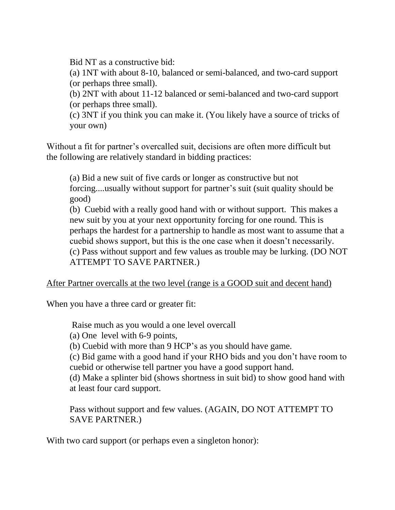Bid NT as a constructive bid:

(a) 1NT with about 8-10, balanced or semi-balanced, and two-card support (or perhaps three small).

(b) 2NT with about 11-12 balanced or semi-balanced and two-card support (or perhaps three small).

(c) 3NT if you think you can make it. (You likely have a source of tricks of your own)

Without a fit for partner's overcalled suit, decisions are often more difficult but the following are relatively standard in bidding practices:

(a) Bid a new suit of five cards or longer as constructive but not forcing....usually without support for partner's suit (suit quality should be good)

(b) Cuebid with a really good hand with or without support. This makes a new suit by you at your next opportunity forcing for one round. This is perhaps the hardest for a partnership to handle as most want to assume that a cuebid shows support, but this is the one case when it doesn't necessarily. (c) Pass without support and few values as trouble may be lurking. (DO NOT ATTEMPT TO SAVE PARTNER.)

After Partner overcalls at the two level (range is a GOOD suit and decent hand)

When you have a three card or greater fit:

Raise much as you would a one level overcall

(a) One level with 6-9 points,

(b) Cuebid with more than 9 HCP's as you should have game.

(c) Bid game with a good hand if your RHO bids and you don't have room to cuebid or otherwise tell partner you have a good support hand.

(d) Make a splinter bid (shows shortness in suit bid) to show good hand with at least four card support.

Pass without support and few values. (AGAIN, DO NOT ATTEMPT TO SAVE PARTNER.)

With two card support (or perhaps even a singleton honor):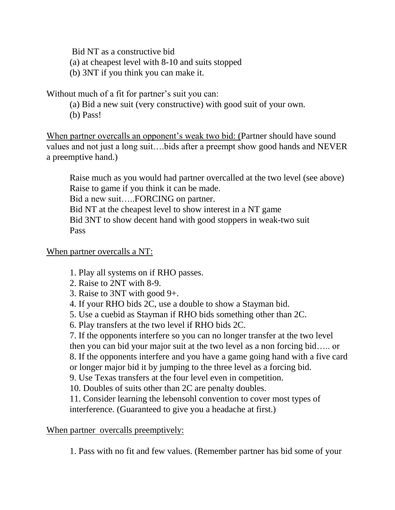Bid NT as a constructive bid

(a) at cheapest level with 8-10 and suits stopped

(b) 3NT if you think you can make it.

Without much of a fit for partner's suit you can:

- (a) Bid a new suit (very constructive) with good suit of your own.
- (b) Pass!

When partner overcalls an opponent's weak two bid: (Partner should have sound values and not just a long suit….bids after a preempt show good hands and NEVER a preemptive hand.)

Raise much as you would had partner overcalled at the two level (see above) Raise to game if you think it can be made. Bid a new suit…..FORCING on partner. Bid NT at the cheapest level to show interest in a NT game Bid 3NT to show decent hand with good stoppers in weak-two suit Pass

When partner overcalls a NT:

1. Play all systems on if RHO passes.

- 2. Raise to 2NT with 8-9.
- 3. Raise to 3NT with good 9+.
- 4. If your RHO bids 2C, use a double to show a Stayman bid.
- 5. Use a cuebid as Stayman if RHO bids something other than 2C.
- 6. Play transfers at the two level if RHO bids 2C.

7. If the opponents interfere so you can no longer transfer at the two level then you can bid your major suit at the two level as a non forcing bid….. or 8. If the opponents interfere and you have a game going hand with a five card or longer major bid it by jumping to the three level as a forcing bid.

9. Use Texas transfers at the four level even in competition.

10. Doubles of suits other than 2C are penalty doubles.

11. Consider learning the lebensohl convention to cover most types of interference. (Guaranteed to give you a headache at first.)

## When partner overcalls preemptively:

1. Pass with no fit and few values. (Remember partner has bid some of your